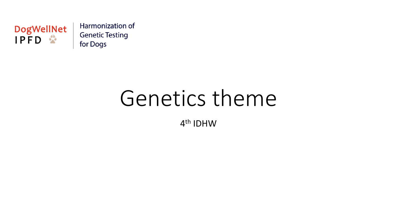

Harmonization of **Genetic Testing** for Dogs

# Genetics theme

4th IDHW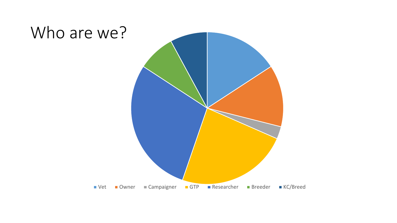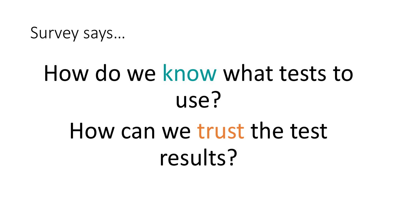Survey says…

# How do we know what tests to use? How can we trust the test results?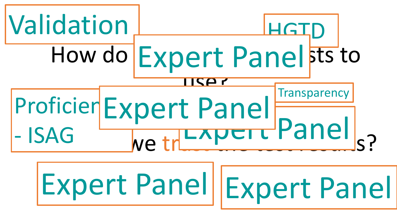

Expert Panel Expert Panel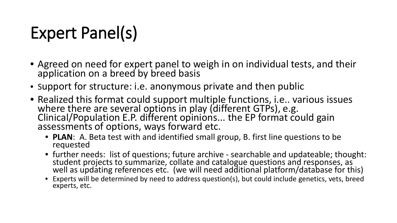## Expert Panel(s)

- Agreed on need for expert panel to weigh in on individual tests, and their application on a breed by breed basis
- Support for structure: i.e. anonymous private and then public
- Realized this format could support multiple functions, i.e.. various issues where there are several options in play (different GTPs), e.g. Clinical/Population E.P. different opinions... the EP format could gain assessments of options, ways forward etc.
	- **PLAN**: A. Beta test with and identified small group, B. first line questions to be requested
	- further needs: list of questions; future archive searchable and updateable; thought:<br>student projects to summarize, collate and catalogue questions and responses, as well as updating references etc. (we will need additional platform/database for this)
	- Experts will be determined by need to address question(s), but could include genetics, vets, breed experts, etc.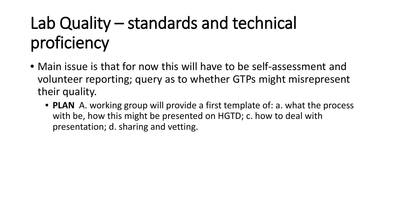## Lab Quality – standards and technical proficiency

- Main issue is that for now this will have to be self-assessment and volunteer reporting; query as to whether GTPs might misrepresent their quality.
	- **PLAN** A. working group will provide a first template of: a. what the process with be, how this might be presented on HGTD; c. how to deal with presentation; d. sharing and vetting.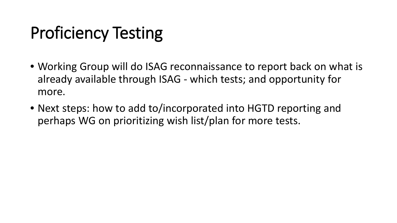## Proficiency Testing

- Working Group will do ISAG reconnaissance to report back on what is already available through ISAG - which tests; and opportunity for more.
- Next steps: how to add to/incorporated into HGTD reporting and perhaps WG on prioritizing wish list/plan for more tests.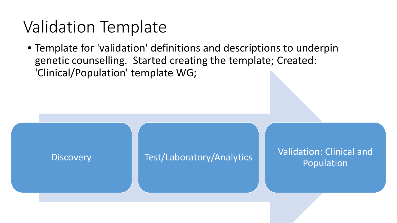#### Validation Template

• Template for 'validation' definitions and descriptions to underpin genetic counselling. Started creating the template; Created: 'Clinical/Population' template WG;

Discovery **Test/Laboratory/Analytics Walidation: Clinical and Discovery** Population